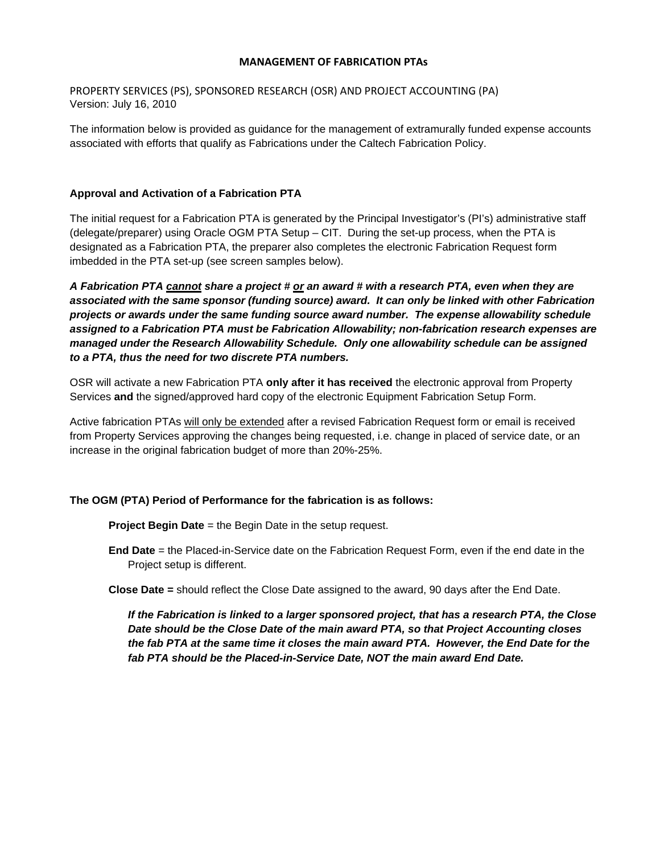### **MANAGEMENT OF FABRICATION PTAs**

PROPERTY SERVICES (PS), SPONSORED RESEARCH (OSR) AND PROJECT ACCOUNTING (PA) Version: July 16, 2010

The information below is provided as guidance for the management of extramurally funded expense accounts associated with efforts that qualify as Fabrications under the Caltech Fabrication Policy.

## **Approval and Activation of a Fabrication PTA**

The initial request for a Fabrication PTA is generated by the Principal Investigator's (PI's) administrative staff (delegate/preparer) using Oracle OGM PTA Setup – CIT. During the set-up process, when the PTA is designated as a Fabrication PTA, the preparer also completes the electronic Fabrication Request form imbedded in the PTA set-up (see screen samples below).

*A Fabrication PTA cannot share a project # or an award # with a research PTA, even when they are associated with the same sponsor (funding source) award. It can only be linked with other Fabrication projects or awards under the same funding source award number. The expense allowability schedule assigned to a Fabrication PTA must be Fabrication Allowability; non-fabrication research expenses are managed under the Research Allowability Schedule. Only one allowability schedule can be assigned to a PTA, thus the need for two discrete PTA numbers.* 

OSR will activate a new Fabrication PTA **only after it has received** the electronic approval from Property Services **and** the signed/approved hard copy of the electronic Equipment Fabrication Setup Form.

Active fabrication PTAs will only be extended after a revised Fabrication Request form or email is received from Property Services approving the changes being requested, i.e. change in placed of service date, or an increase in the original fabrication budget of more than 20%-25%.

#### **The OGM (PTA) Period of Performance for the fabrication is as follows:**

**Project Begin Date** = the Begin Date in the setup request.

**End Date** = the Placed-in-Service date on the Fabrication Request Form, even if the end date in the Project setup is different.

**Close Date =** should reflect the Close Date assigned to the award, 90 days after the End Date.

*If the Fabrication is linked to a larger sponsored project, that has a research PTA, the Close Date should be the Close Date of the main award PTA, so that Project Accounting closes the fab PTA at the same time it closes the main award PTA. However, the End Date for the fab PTA should be the Placed-in-Service Date, NOT the main award End Date.*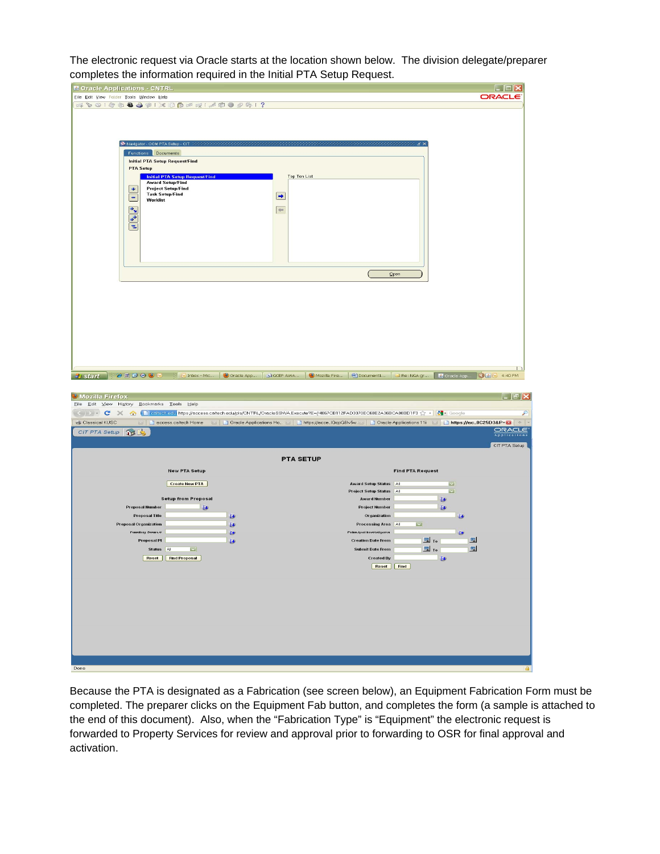The electronic request via Oracle starts at the location shown below. The division delegate/preparer completes the information required in the Initial PTA Setup Request.

| Eile Edit View Folder Tools Window Help                                                                                                                                                                                                        |                           |
|------------------------------------------------------------------------------------------------------------------------------------------------------------------------------------------------------------------------------------------------|---------------------------|
|                                                                                                                                                                                                                                                | ORACLE                    |
| 4001048301×100041690041?                                                                                                                                                                                                                       |                           |
|                                                                                                                                                                                                                                                |                           |
|                                                                                                                                                                                                                                                |                           |
|                                                                                                                                                                                                                                                |                           |
| Children o GM PTA Setup - CIT                                                                                                                                                                                                                  |                           |
| Functions Documents                                                                                                                                                                                                                            |                           |
| <b>Initial PTA Setup Request/Find</b>                                                                                                                                                                                                          |                           |
| <b>PTA Setup</b>                                                                                                                                                                                                                               |                           |
| Top Ten List<br><b>Initial PTA Setup Request/Find</b>                                                                                                                                                                                          |                           |
| <b>Award Setup/Find</b><br><b>Project Setup/Find</b><br>$\frac{1}{2}$                                                                                                                                                                          |                           |
| <b>Task Setup/Find</b><br>$\rightarrow$<br>$\blacksquare$                                                                                                                                                                                      |                           |
| Worklist                                                                                                                                                                                                                                       |                           |
| $\Leftarrow$                                                                                                                                                                                                                                   |                           |
| $\begin{array}{c c c c} \bullet & \bullet & \bullet \end{array}$                                                                                                                                                                               |                           |
|                                                                                                                                                                                                                                                |                           |
|                                                                                                                                                                                                                                                |                           |
|                                                                                                                                                                                                                                                |                           |
|                                                                                                                                                                                                                                                |                           |
|                                                                                                                                                                                                                                                |                           |
| Qpen                                                                                                                                                                                                                                           |                           |
|                                                                                                                                                                                                                                                |                           |
|                                                                                                                                                                                                                                                |                           |
|                                                                                                                                                                                                                                                |                           |
|                                                                                                                                                                                                                                                |                           |
|                                                                                                                                                                                                                                                |                           |
|                                                                                                                                                                                                                                                |                           |
|                                                                                                                                                                                                                                                |                           |
|                                                                                                                                                                                                                                                |                           |
|                                                                                                                                                                                                                                                |                           |
|                                                                                                                                                                                                                                                |                           |
|                                                                                                                                                                                                                                                | $\overline{1}$            |
| $\bullet\texttt{B}\bullet\bullet\texttt{C}$<br><b>EXECUTION - Mic</b> O Oracle App 39 GCEP AWA<br>Mozilla Fire <b>@Document1</b><br>Re: NGA gr<br><b><i>ij</i></b> start                                                                       | Goracle App 36 36 4:40 PM |
|                                                                                                                                                                                                                                                |                           |
|                                                                                                                                                                                                                                                |                           |
|                                                                                                                                                                                                                                                |                           |
| File Edit View History Bookmarks Tools Help                                                                                                                                                                                                    |                           |
| < > > < C'X < C'X + C' < C' < C' caltechecku https://access.caltech.edu/pls/CNTRL/OracleSSWA.Execute?E={!4867CB112FAD3070EC68E2A36BCA00BD1F3 ☆ - 3 - 3                                                                                         | ₽                         |
| ■ Deacle Applications Ho ■ Dittps://accelQcpG6lv5w ■ Dittps://acce.lOcpG6lv5w ■ Dittps://acce.lOcpG6lv5w ■ Dittps://acce.lOcpG6lv5w ■ Dittps://acce.lOcpG6lv5w ■ Dittps://acce.lOcpG6lv5w ■ Dittps://<br>Classical KUSC<br>access.caltech Home | $\omega_{\rm{p}}$         |
| CIT PTA Setup<br><b>QUES</b>                                                                                                                                                                                                                   | ORACLE                    |
|                                                                                                                                                                                                                                                | Application               |
|                                                                                                                                                                                                                                                | CIT PTA Setup             |
| <b>PTA SETUP</b>                                                                                                                                                                                                                               |                           |
|                                                                                                                                                                                                                                                |                           |
| <b>New PTA Setup</b><br><b>Find PTA Request</b>                                                                                                                                                                                                |                           |
| <b>Create New PTA</b><br>Award Setup Status All                                                                                                                                                                                                | $\overline{\mathbf{v}}$   |
| <b>Project Setup Status</b><br>A                                                                                                                                                                                                               | $\vert \mathbf{v} \vert$  |
| <b>Setup from Proposal</b><br><b>Award Number</b>                                                                                                                                                                                              | 提                         |
| <b>Proposal Number</b><br>提<br><b>Project Number</b>                                                                                                                                                                                           | ₩                         |
| <b>Proposal Title</b><br>₩<br>Organization                                                                                                                                                                                                     | 摄                         |
| <b>Proposal Organization</b><br>$\vert \mathbf{v} \vert$<br>Processing Area All<br>₩                                                                                                                                                           |                           |
| <b>Funding Source</b><br>₩<br><b>Principal Investigator</b>                                                                                                                                                                                    | 医                         |
| <b>国</b> To<br>Proposal PI<br><b>Creation Date From</b><br>也                                                                                                                                                                                   | 國                         |
| $\blacksquare$ To<br>Status All<br>$\vert \mathbf{v} \vert$<br>Submit Date From                                                                                                                                                                | 圓                         |
| <b>Find Proposal</b><br>Reset  <br><b>Created By</b>                                                                                                                                                                                           | ₩                         |
| Reset Find                                                                                                                                                                                                                                     |                           |
|                                                                                                                                                                                                                                                |                           |
|                                                                                                                                                                                                                                                |                           |
| <b>O</b> Mozilla Firefox                                                                                                                                                                                                                       |                           |
|                                                                                                                                                                                                                                                |                           |
|                                                                                                                                                                                                                                                |                           |
|                                                                                                                                                                                                                                                |                           |
|                                                                                                                                                                                                                                                |                           |
|                                                                                                                                                                                                                                                |                           |
|                                                                                                                                                                                                                                                |                           |
|                                                                                                                                                                                                                                                |                           |

Because the PTA is designated as a Fabrication (see screen below), an Equipment Fabrication Form must be completed. The preparer clicks on the Equipment Fab button, and completes the form (a sample is attached to the end of this document). Also, when the "Fabrication Type" is "Equipment" the electronic request is forwarded to Property Services for review and approval prior to forwarding to OSR for final approval and activation.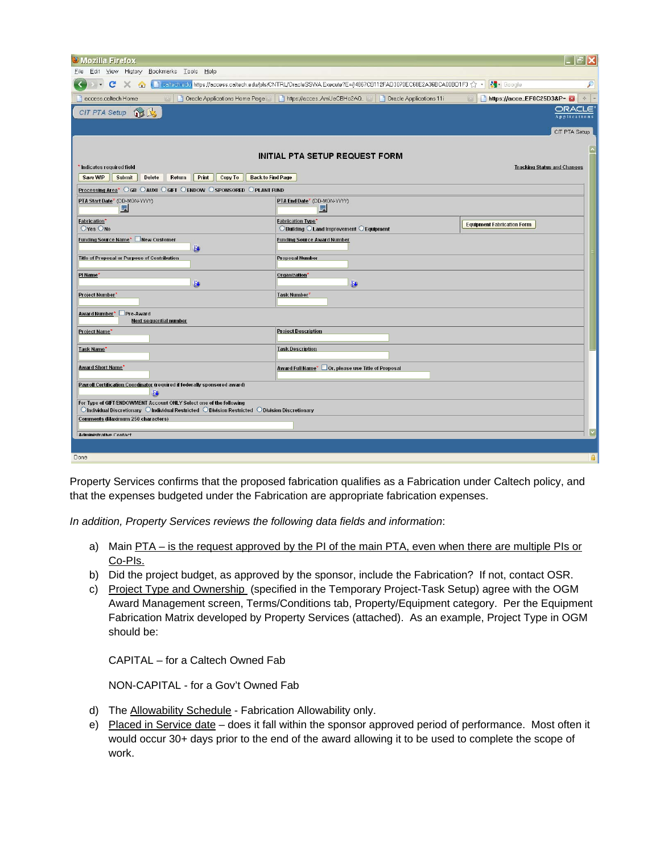| <b>U</b> Mozilla Firefox                                                                                                                                                                                                                         |                                                                                                                    |                                                           |
|--------------------------------------------------------------------------------------------------------------------------------------------------------------------------------------------------------------------------------------------------|--------------------------------------------------------------------------------------------------------------------|-----------------------------------------------------------|
| File Edit View History Bookmarks Tools Help                                                                                                                                                                                                      |                                                                                                                    |                                                           |
| C                                                                                                                                                                                                                                                | K A F callecinedly https://access.caltech.edu/pls/CNTRL/OracleSSWA.Execute?E={!4867CB112FAD3070EC68E2A36BCA00BD1F3 | <b>R</b> Google                                           |
| access.caltech Home                                                                                                                                                                                                                              | T Oracle Applications Home Page T https://accesAmUeCBHo2AQ [3] T Oracle Applications 11i                           | https://acce_EF0C25D3&P=<br>$\boxed{23}$<br>$\frac{1}{2}$ |
| CIT PTA Setup 15                                                                                                                                                                                                                                 |                                                                                                                    | ORACLE<br>Application:                                    |
|                                                                                                                                                                                                                                                  |                                                                                                                    | CIT PTA Setup                                             |
|                                                                                                                                                                                                                                                  |                                                                                                                    |                                                           |
|                                                                                                                                                                                                                                                  | <b>INITIAL PTA SETUP REQUEST FORM</b>                                                                              |                                                           |
| Indicates required field                                                                                                                                                                                                                         |                                                                                                                    | <b>Tracking Status and Changes</b>                        |
| Submit<br><b>Delete</b><br>Return<br>Print<br>Copy To<br><b>Back to Find Page</b><br>Save WIP                                                                                                                                                    |                                                                                                                    |                                                           |
| Processing Area* OGB O AUXI OGIFT O ENDOW O SPONSORED OPLANT FUND                                                                                                                                                                                |                                                                                                                    |                                                           |
| PTA Start Date* (DD-MON-YYYY)<br>風                                                                                                                                                                                                               | PTA End Date* (DD-MON-YYYY)<br>鳳                                                                                   |                                                           |
| <b>Fabrication*</b><br>OYes ONo                                                                                                                                                                                                                  | <b>Fabrication Type*</b><br>◯ Building ◯ Land Improvement ◯ Equipment                                              | <b>Equipment Fabrication Form</b>                         |
| Funding Source Name* New Customer<br>趣                                                                                                                                                                                                           | <b>Funding Source Award Number</b>                                                                                 |                                                           |
| Title of Proposal or Purpose of Contribution                                                                                                                                                                                                     | <b>Proposal Number</b>                                                                                             |                                                           |
| PI Name*<br>B                                                                                                                                                                                                                                    | Organization*<br>脚                                                                                                 |                                                           |
| Project Number*                                                                                                                                                                                                                                  | Task Number*                                                                                                       |                                                           |
| Award Number* Pre-Award<br><b>Next sequential number</b>                                                                                                                                                                                         |                                                                                                                    |                                                           |
| Project Name*                                                                                                                                                                                                                                    | <b>Project Description</b>                                                                                         |                                                           |
| Task Name*                                                                                                                                                                                                                                       | <b>Task Description</b>                                                                                            |                                                           |
| <b>Award Short Name*</b>                                                                                                                                                                                                                         | Award Full Name <sup>*</sup> □ Or, please use Title of Proposal                                                    |                                                           |
| Payroll Certification Coordinator (required if federally sponsored award)<br>łФ                                                                                                                                                                  |                                                                                                                    |                                                           |
| For Type of GIFT/ENDOWMENT Account ONLY Select one of the following<br>$\circlearrowright$ Individual Discretionary $\circlearrowright$ Individual Restricted $\circlearrowright$ Division Restricted $\circlearrowright$ Division Discretionary |                                                                                                                    |                                                           |
| Comments (Maximum 250 characters)                                                                                                                                                                                                                |                                                                                                                    |                                                           |
| <b>Administrative Contact</b>                                                                                                                                                                                                                    |                                                                                                                    |                                                           |
|                                                                                                                                                                                                                                                  |                                                                                                                    |                                                           |
| Done                                                                                                                                                                                                                                             |                                                                                                                    | i ê                                                       |

Property Services confirms that the proposed fabrication qualifies as a Fabrication under Caltech policy, and that the expenses budgeted under the Fabrication are appropriate fabrication expenses.

*In addition, Property Services reviews the following data fields and information*:

- a) Main PTA is the request approved by the PI of the main PTA, even when there are multiple PIs or Co-PIs.
- b) Did the project budget, as approved by the sponsor, include the Fabrication? If not, contact OSR.
- c) Project Type and Ownership (specified in the Temporary Project-Task Setup) agree with the OGM Award Management screen, Terms/Conditions tab, Property/Equipment category. Per the Equipment Fabrication Matrix developed by Property Services (attached). As an example, Project Type in OGM should be:

CAPITAL – for a Caltech Owned Fab

NON-CAPITAL - for a Gov't Owned Fab

- d) The Allowability Schedule Fabrication Allowability only.
- e) Placed in Service date does it fall within the sponsor approved period of performance. Most often it would occur 30+ days prior to the end of the award allowing it to be used to complete the scope of work.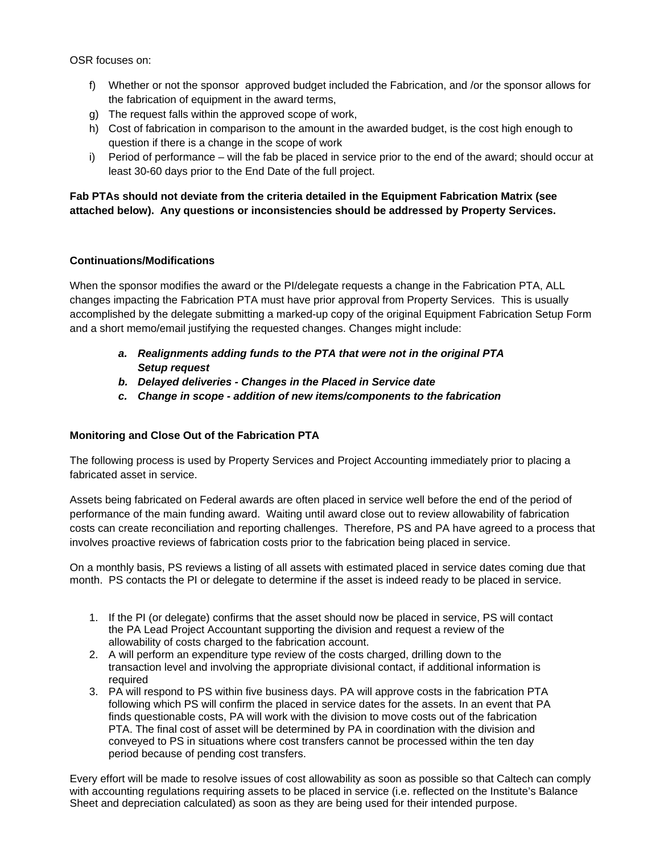OSR focuses on:

- f) Whether or not the sponsor approved budget included the Fabrication, and /or the sponsor allows for the fabrication of equipment in the award terms,
- g) The request falls within the approved scope of work,
- h) Cost of fabrication in comparison to the amount in the awarded budget, is the cost high enough to question if there is a change in the scope of work
- i) Period of performance will the fab be placed in service prior to the end of the award; should occur at least 30-60 days prior to the End Date of the full project.

# **Fab PTAs should not deviate from the criteria detailed in the Equipment Fabrication Matrix (see attached below). Any questions or inconsistencies should be addressed by Property Services.**

## **Continuations/Modifications**

When the sponsor modifies the award or the PI/delegate requests a change in the Fabrication PTA, ALL changes impacting the Fabrication PTA must have prior approval from Property Services. This is usually accomplished by the delegate submitting a marked-up copy of the original Equipment Fabrication Setup Form and a short memo/email justifying the requested changes. Changes might include:

- *a. Realignments adding funds to the PTA that were not in the original PTA Setup request*
- *b. Delayed deliveries Changes in the Placed in Service date*
- *c. Change in scope addition of new items/components to the fabrication*

## **Monitoring and Close Out of the Fabrication PTA**

The following process is used by Property Services and Project Accounting immediately prior to placing a fabricated asset in service.

Assets being fabricated on Federal awards are often placed in service well before the end of the period of performance of the main funding award. Waiting until award close out to review allowability of fabrication costs can create reconciliation and reporting challenges. Therefore, PS and PA have agreed to a process that involves proactive reviews of fabrication costs prior to the fabrication being placed in service.

On a monthly basis, PS reviews a listing of all assets with estimated placed in service dates coming due that month. PS contacts the PI or delegate to determine if the asset is indeed ready to be placed in service.

- 1. If the PI (or delegate) confirms that the asset should now be placed in service, PS will contact the PA Lead Project Accountant supporting the division and request a review of the allowability of costs charged to the fabrication account.
- 2. A will perform an expenditure type review of the costs charged, drilling down to the transaction level and involving the appropriate divisional contact, if additional information is required
- 3. PA will respond to PS within five business days. PA will approve costs in the fabrication PTA following which PS will confirm the placed in service dates for the assets. In an event that PA finds questionable costs, PA will work with the division to move costs out of the fabrication PTA. The final cost of asset will be determined by PA in coordination with the division and conveyed to PS in situations where cost transfers cannot be processed within the ten day period because of pending cost transfers.

Every effort will be made to resolve issues of cost allowability as soon as possible so that Caltech can comply with accounting regulations requiring assets to be placed in service (i.e. reflected on the Institute's Balance Sheet and depreciation calculated) as soon as they are being used for their intended purpose.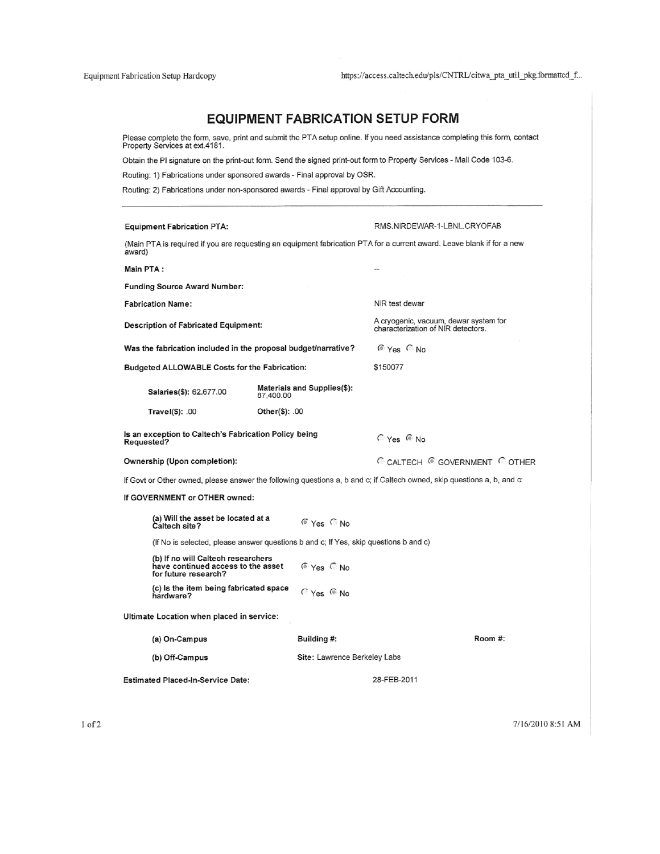# **EQUIPMENT FABRICATION SETUP FORM**

Please complete the form, save, print and submit the PTA setup online. If you need assistance completing this form, contact<br>Property Services at ext.4181.

Obtain the PI signature on the print-out form. Send the signed print-out form to Property Services - Mail Code 103-6.

Routing: 1) Fabrications under sponsored awards - Final approval by OSR.

Routing: 2) Fabrications under non-sponsored awards - Final approval by Gift Accounting.

| <b>Equipment Fabrication PTA:</b>                                                                |                                                                                      | RMS.NIRDEWAR-1-LBNL.CRYOFAB                                                                                             |  |  |  |
|--------------------------------------------------------------------------------------------------|--------------------------------------------------------------------------------------|-------------------------------------------------------------------------------------------------------------------------|--|--|--|
|                                                                                                  |                                                                                      | (Main PTA is required if you are requesting an equipment fabrication PTA for a current award. Leave blank if for a new  |  |  |  |
| award)<br>Main PTA:                                                                              |                                                                                      |                                                                                                                         |  |  |  |
|                                                                                                  |                                                                                      |                                                                                                                         |  |  |  |
| <b>Funding Source Award Number:</b>                                                              |                                                                                      |                                                                                                                         |  |  |  |
| <b>Fabrication Name:</b>                                                                         |                                                                                      | NIR test dewar                                                                                                          |  |  |  |
| <b>Description of Fabricated Equipment:</b>                                                      |                                                                                      | A cryogenic, vacuum, dewar system for<br>characterization of NIR detectors.                                             |  |  |  |
| Was the fabrication included in the proposal budget/narrative?                                   |                                                                                      | © Yes CNo                                                                                                               |  |  |  |
| <b>Budgeted ALLOWABLE Costs for the Fabrication:</b>                                             |                                                                                      | \$150077                                                                                                                |  |  |  |
| <b>Salaries(\$): 62,677.00</b>                                                                   | Materials and Supplies(\$):<br>87,400.00                                             |                                                                                                                         |  |  |  |
| Travel(\$): .00                                                                                  | Other(\$): .00                                                                       |                                                                                                                         |  |  |  |
| Is an exception to Caltech's Fabrication Policy being<br>Requested?                              |                                                                                      | C Yes C No                                                                                                              |  |  |  |
| Ownership (Upon completion):                                                                     |                                                                                      | C CALTECH C GOVERNMENT C OTHER                                                                                          |  |  |  |
|                                                                                                  |                                                                                      | If Govt or Other owned, please answer the following questions a, b and c; if Caltech owned, skip questions a, b, and c: |  |  |  |
| If GOVERNMENT or OTHER owned:                                                                    |                                                                                      |                                                                                                                         |  |  |  |
| (a) Will the asset be located at a<br>Caltech site?                                              | $^{\circ}$ Yes $^{\circ}$ No                                                         |                                                                                                                         |  |  |  |
|                                                                                                  | (If No is selected, please answer questions b and c; If Yes, skip questions b and c) |                                                                                                                         |  |  |  |
| (b) If no will Caltech researchers<br>have continued access to the asset<br>for future research? | <b>E</b> Yes C No                                                                    |                                                                                                                         |  |  |  |
| (c) is the item being fabricated space<br>hardware?                                              | CYes CNo                                                                             |                                                                                                                         |  |  |  |
| Ultimate Location when placed in service:                                                        |                                                                                      |                                                                                                                         |  |  |  |
| (a) On-Campus                                                                                    | Building #:                                                                          | Room #:                                                                                                                 |  |  |  |
| (b) Off-Campus                                                                                   |                                                                                      | Site: Lawrence Berkeley Labs                                                                                            |  |  |  |
| <b>Estimated Placed-In-Service Date:</b>                                                         |                                                                                      | 28-FEB-2011                                                                                                             |  |  |  |

7/16/2010 8:51 AM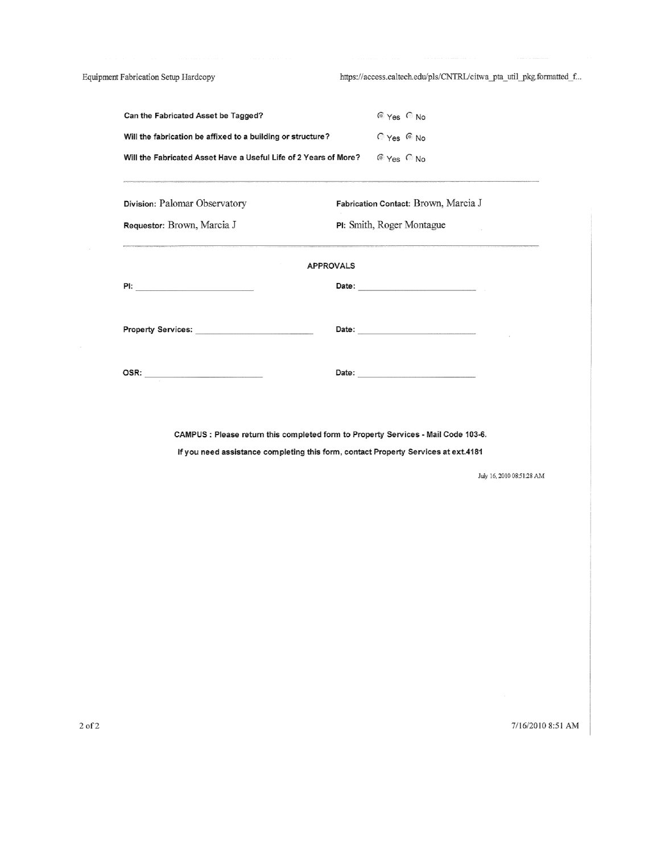Equipment Fabrication Setup Hardcopy

https://access.caltech.edu/pls/CNTRL/citwa\_pta\_util\_pkg.formatted\_f...

| Can the Fabricated Asset be Tagged?                                                                                                                                      | $^{\circ}$ Yes $^{\circ}$ No         |  |  |  |  |
|--------------------------------------------------------------------------------------------------------------------------------------------------------------------------|--------------------------------------|--|--|--|--|
| Will the fabrication be affixed to a building or structure?                                                                                                              | $C$ Yes $C$ No                       |  |  |  |  |
| Will the Fabricated Asset Have a Useful Life of 2 Years of More?                                                                                                         | <b>E</b> Yes C No                    |  |  |  |  |
| Division: Palomar Observatory                                                                                                                                            | Fabrication Contact: Brown, Marcia J |  |  |  |  |
| Requestor: Brown, Marcia J                                                                                                                                               | PI: Smith, Roger Montague            |  |  |  |  |
| <b>APPROVALS</b>                                                                                                                                                         |                                      |  |  |  |  |
| Property Services: National Assembly Property Services:                                                                                                                  |                                      |  |  |  |  |
|                                                                                                                                                                          |                                      |  |  |  |  |
| CAMPUS : Please return this completed form to Property Services - Mail Code 103-6.<br>If you need assistance completing this form, contact Property Services at ext.4181 |                                      |  |  |  |  |

July 16, 2010 08:51:28 AM

7/16/2010 8:51 AM